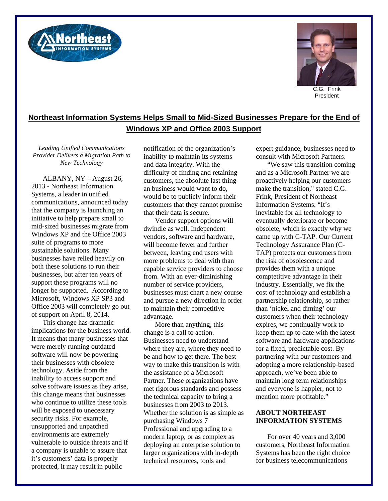



President

## **Northeast Information Systems Helps Small to Mid-Sized Businesses Prepare for the End of Windows XP and Office 2003 Support**

*Leading Unified Communications Provider Delivers a Migration Path to New Technology* 

ALBANY, NY – August 26, 2013 - Northeast Information Systems, a leader in unified communications, announced today that the company is launching an initiative to help prepare small to mid-sized businesses migrate from Windows XP and the Office 2003 suite of programs to more sustainable solutions. Many businesses have relied heavily on both these solutions to run their businesses, but after ten years of support these programs will no longer be supported. According to Microsoft, Windows XP SP3 and Office 2003 will completely go out of support on April 8, 2014.

This change has dramatic implications for the business world. It means that many businesses that were merely running outdated software will now be powering their businesses with obsolete technology. Aside from the inability to access support and solve software issues as they arise, this change means that businesses who continue to utilize these tools will be exposed to unecessary security risks. For example, unsupported and unpatched environments are extremely vulnerable to outside threats and if a company is unable to assure that it's customers' data is properly protected, it may result in public

notification of the organization's inability to maintain its systems and data integrity. With the difficulty of finding and retaining customers, the absolute last thing an business would want to do, would be to publicly inform their customers that they cannot promise that their data is secure.

Vendor support options will dwindle as well. Independent vendors, software and hardware, will become fewer and further between, leaving end users with more problems to deal with than capable service providers to choose from. With an ever-diminishing number of service providers, businesses must chart a new course and pursue a new direction in order to maintain their competitive advantage.

More than anything, this change is a call to action. Businesses need to understand where they are, where they need to be and how to get there. The best way to make this transition is with the assistance of a Microsoft Partner. These organizations have met rigorous standards and possess the technical capacity to bring a businesses from 2003 to 2013. Whether the solution is as simple as purchasing Windows 7 Professional and upgrading to a modern laptop, or as complex as deploying an enterprise solution to larger organizations with in-depth technical resources, tools and

expert guidance, businesses need to consult with Microsoft Partners.

"We saw this transition coming and as a Microsoft Partner we are proactively helping our customers make the transition," stated C.G. Frink, President of Northeast Information Systems. "It's inevitable for all technology to eventually deteriorate or become obsolete, which is exactly why we came up with C-TAP. Our Current Technology Assurance Plan (C-TAP) protects our customers from the risk of obsolescence and provides them with a unique comptetitive advantage in their industry. Essentially, we fix the cost of technology and establish a partnership relationship, so rather than 'nickel and diming' our customers when their technology expires, we continually work to keep them up to date with the latest software and hardware applications for a fixed, predictable cost. By partnering with our customers and adopting a more relationship-based approach, we've been able to maintain long term relationships and everyone is happier, not to mention more profitable."

## **ABOUT NORTHEAST INFORMATION SYSTEMS**

For over 40 years and 3,000 customers, Northeast Information Systems has been the right choice for business telecommunications